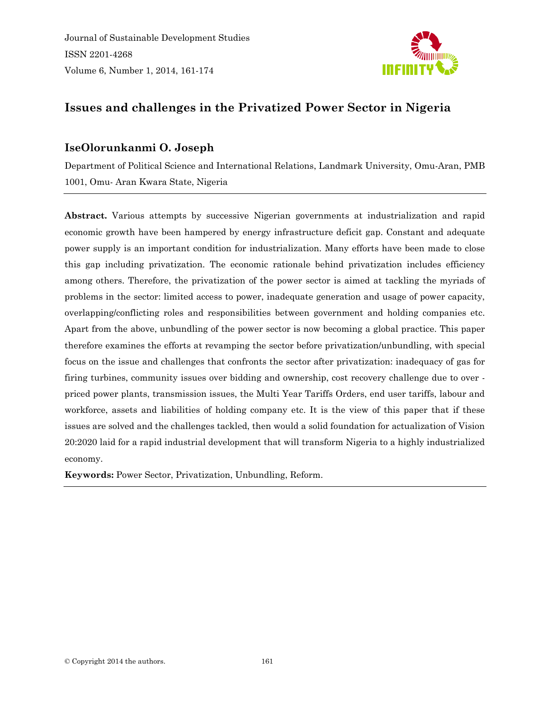Journal of Sustainable Development Studies ISSN 2201-4268 Volume 6, Number 1, 2014, 161-174



# **Issues and challenges in the Privatized Power Sector in Nigeria**

# **IseOlorunkanmi O. Joseph**

Department of Political Science and International Relations, Landmark University, Omu-Aran, PMB 1001, Omu- Aran Kwara State, Nigeria

**Abstract.** Various attempts by successive Nigerian governments at industrialization and rapid economic growth have been hampered by energy infrastructure deficit gap. Constant and adequate power supply is an important condition for industrialization. Many efforts have been made to close this gap including privatization. The economic rationale behind privatization includes efficiency among others. Therefore, the privatization of the power sector is aimed at tackling the myriads of problems in the sector: limited access to power, inadequate generation and usage of power capacity, overlapping/conflicting roles and responsibilities between government and holding companies etc. Apart from the above, unbundling of the power sector is now becoming a global practice. This paper therefore examines the efforts at revamping the sector before privatization/unbundling, with special focus on the issue and challenges that confronts the sector after privatization: inadequacy of gas for firing turbines, community issues over bidding and ownership, cost recovery challenge due to over priced power plants, transmission issues, the Multi Year Tariffs Orders, end user tariffs, labour and workforce, assets and liabilities of holding company etc. It is the view of this paper that if these issues are solved and the challenges tackled, then would a solid foundation for actualization of Vision 20:2020 laid for a rapid industrial development that will transform Nigeria to a highly industrialized economy.

**Keywords:** Power Sector, Privatization, Unbundling, Reform.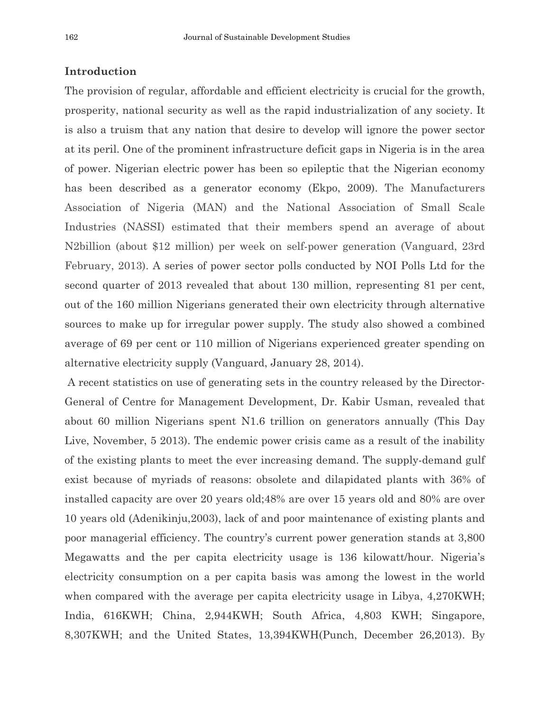## **Introduction**

The provision of regular, affordable and efficient electricity is crucial for the growth, prosperity, national security as well as the rapid industrialization of any society. It is also a truism that any nation that desire to develop will ignore the power sector at its peril. One of the prominent infrastructure deficit gaps in Nigeria is in the area of power. Nigerian electric power has been so epileptic that the Nigerian economy has been described as a generator economy (Ekpo, 2009). The Manufacturers Association of Nigeria (MAN) and the National Association of Small Scale Industries (NASSI) estimated that their members spend an average of about N2billion (about \$12 million) per week on self-power generation (Vanguard, 23rd February, 2013). A series of power sector polls conducted by NOI Polls Ltd for the second quarter of 2013 revealed that about 130 million, representing 81 per cent, out of the 160 million Nigerians generated their own electricity through alternative sources to make up for irregular power supply. The study also showed a combined average of 69 per cent or 110 million of Nigerians experienced greater spending on alternative electricity supply (Vanguard, January 28, 2014).

A recent statistics on use of generating sets in the country released by the Director-General of Centre for Management Development, Dr. Kabir Usman, revealed that about 60 million Nigerians spent N1.6 trillion on generators annually (This Day Live, November, 5 2013). The endemic power crisis came as a result of the inability of the existing plants to meet the ever increasing demand. The supply-demand gulf exist because of myriads of reasons: obsolete and dilapidated plants with 36% of installed capacity are over 20 years old;48% are over 15 years old and 80% are over 10 years old (Adenikinju,2003), lack of and poor maintenance of existing plants and poor managerial efficiency. The country's current power generation stands at 3,800 Megawatts and the per capita electricity usage is 136 kilowatt/hour. Nigeria's electricity consumption on a per capita basis was among the lowest in the world when compared with the average per capita electricity usage in Libya,  $4,270KWH$ ; India, 616KWH; China, 2,944KWH; South Africa, 4,803 KWH; Singapore, 8,307KWH; and the United States, 13,394KWH(Punch, December 26,2013). By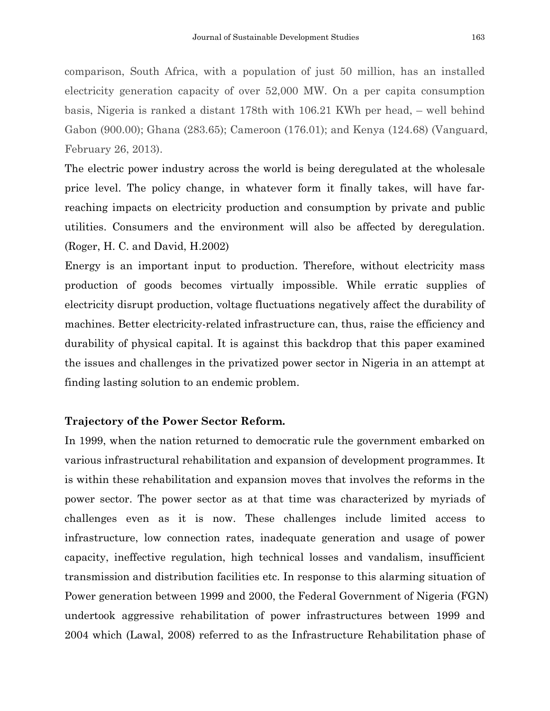comparison, South Africa, with a population of just 50 million, has an installed electricity generation capacity of over 52,000 MW. On a per capita consumption basis, Nigeria is ranked a distant 178th with 106.21 KWh per head, – well behind Gabon (900.00); Ghana (283.65); Cameroon (176.01); and Kenya (124.68) (Vanguard, February 26, 2013).

The electric power industry across the world is being deregulated at the wholesale price level. The policy change, in whatever form it finally takes, will have farreaching impacts on electricity production and consumption by private and public utilities. Consumers and the environment will also be affected by deregulation. (Roger, H. C. and David, H.2002)

Energy is an important input to production. Therefore, without electricity mass production of goods becomes virtually impossible. While erratic supplies of electricity disrupt production, voltage fluctuations negatively affect the durability of machines. Better electricity-related infrastructure can, thus, raise the efficiency and durability of physical capital. It is against this backdrop that this paper examined the issues and challenges in the privatized power sector in Nigeria in an attempt at finding lasting solution to an endemic problem.

### **Trajectory of the Power Sector Reform.**

In 1999, when the nation returned to democratic rule the government embarked on various infrastructural rehabilitation and expansion of development programmes. It is within these rehabilitation and expansion moves that involves the reforms in the power sector. The power sector as at that time was characterized by myriads of challenges even as it is now. These challenges include limited access to infrastructure, low connection rates, inadequate generation and usage of power capacity, ineffective regulation, high technical losses and vandalism, insufficient transmission and distribution facilities etc. In response to this alarming situation of Power generation between 1999 and 2000, the Federal Government of Nigeria (FGN) undertook aggressive rehabilitation of power infrastructures between 1999 and 2004 which (Lawal, 2008) referred to as the Infrastructure Rehabilitation phase of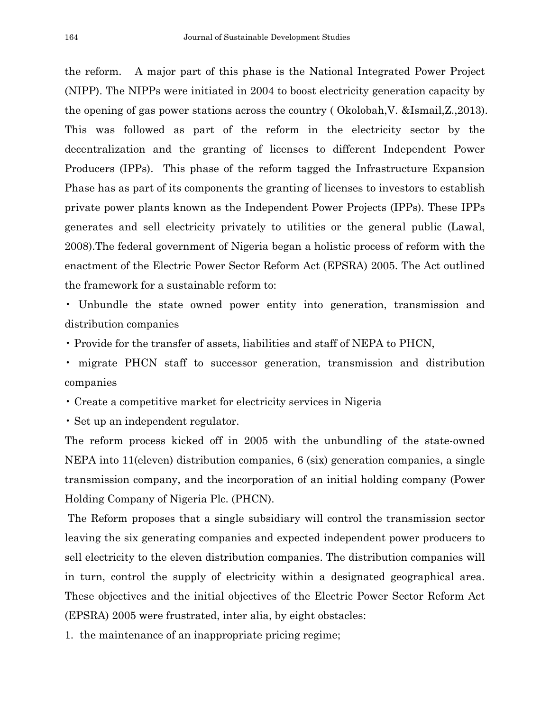the reform. A major part of this phase is the National Integrated Power Project (NIPP). The NIPPs were initiated in 2004 to boost electricity generation capacity by the opening of gas power stations across the country ( Okolobah,V. &Ismail,Z.,2013). This was followed as part of the reform in the electricity sector by the decentralization and the granting of licenses to different Independent Power Producers (IPPs). This phase of the reform tagged the Infrastructure Expansion Phase has as part of its components the granting of licenses to investors to establish private power plants known as the Independent Power Projects (IPPs). These IPPs generates and sell electricity privately to utilities or the general public (Lawal, 2008).The federal government of Nigeria began a holistic process of reform with the enactment of the Electric Power Sector Reform Act (EPSRA) 2005. The Act outlined the framework for a sustainable reform to:

• Unbundle the state owned power entity into generation, transmission and distribution companies

• Provide for the transfer of assets, liabilities and staff of NEPA to PHCN,

• migrate PHCN staff to successor generation, transmission and distribution companies

• Create a competitive market for electricity services in Nigeria

• Set up an independent regulator.

The reform process kicked off in 2005 with the unbundling of the state-owned NEPA into 11(eleven) distribution companies, 6 (six) generation companies, a single transmission company, and the incorporation of an initial holding company (Power Holding Company of Nigeria Plc. (PHCN).

The Reform proposes that a single subsidiary will control the transmission sector leaving the six generating companies and expected independent power producers to sell electricity to the eleven distribution companies. The distribution companies will in turn, control the supply of electricity within a designated geographical area. These objectives and the initial objectives of the Electric Power Sector Reform Act (EPSRA) 2005 were frustrated, inter alia, by eight obstacles:

1. the maintenance of an inappropriate pricing regime;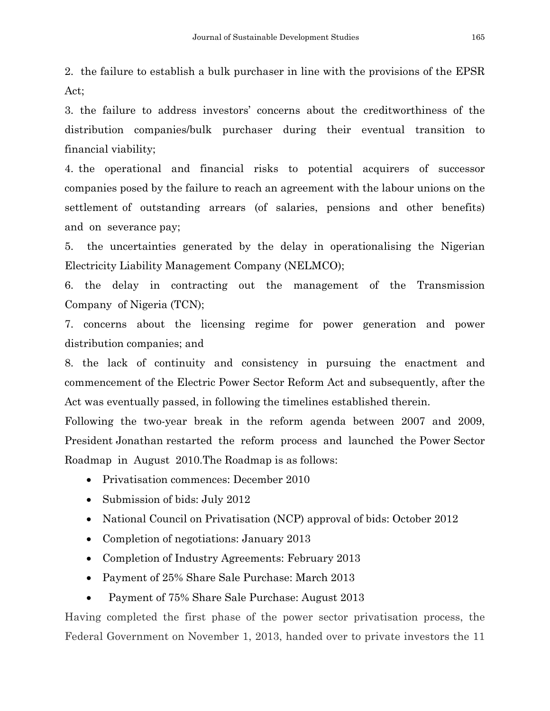2. the failure to establish a bulk purchaser in line with the provisions of the EPSR Act;

3. the failure to address investors' concerns about the creditworthiness of the distribution companies/bulk purchaser during their eventual transition to financial viability;

4. the operational and financial risks to potential acquirers of successor companies posed by the failure to reach an agreement with the labour unions on the settlement of outstanding arrears (of salaries, pensions and other benefits) and on severance pay;

5. the uncertainties generated by the delay in operationalising the Nigerian Electricity Liability Management Company (NELMCO);

6. the delay in contracting out the management of the Transmission Company of Nigeria (TCN);

7. concerns about the licensing regime for power generation and power distribution companies; and

8. the lack of continuity and consistency in pursuing the enactment and commencement of the Electric Power Sector Reform Act and subsequently, after the Act was eventually passed, in following the timelines established therein.

Following the two-year break in the reform agenda between 2007 and 2009, President Jonathan restarted the reform process and launched the Power Sector Roadmap in August 2010.The Roadmap is as follows:

- Privatisation commences: December 2010
- Submission of bids: July 2012
- National Council on Privatisation (NCP) approval of bids: October 2012
- Completion of negotiations: January 2013
- Completion of Industry Agreements: February 2013
- Payment of 25% Share Sale Purchase: March 2013
- Payment of 75% Share Sale Purchase: August 2013

Having completed the first phase of the power sector privatisation process, the Federal Government on November 1, 2013, handed over to private investors the 11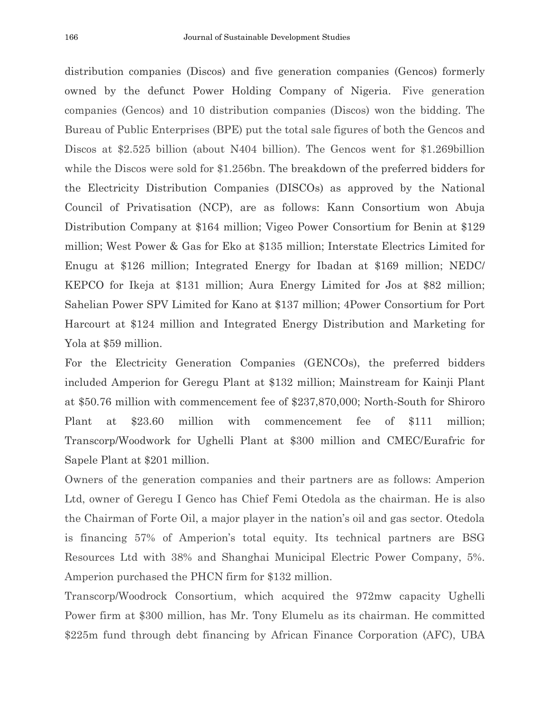distribution companies (Discos) and five generation companies (Gencos) formerly owned by the defunct Power Holding Company of Nigeria. Five generation companies (Gencos) and 10 distribution companies (Discos) won the bidding. The Bureau of Public Enterprises (BPE) put the total sale figures of both the Gencos and Discos at \$2.525 billion (about N404 billion). The Gencos went for \$1.269billion while the Discos were sold for \$1.256bn. The breakdown of the preferred bidders for the Electricity Distribution Companies (DISCOs) as approved by the National Council of Privatisation (NCP), are as follows: Kann Consortium won Abuja Distribution Company at \$164 million; Vigeo Power Consortium for Benin at \$129 million; West Power & Gas for Eko at \$135 million; Interstate Electrics Limited for Enugu at \$126 million; Integrated Energy for Ibadan at \$169 million; NEDC/ KEPCO for Ikeja at \$131 million; Aura Energy Limited for Jos at \$82 million; Sahelian Power SPV Limited for Kano at \$137 million; 4Power Consortium for Port Harcourt at \$124 million and Integrated Energy Distribution and Marketing for Yola at \$59 million.

For the Electricity Generation Companies (GENCOs), the preferred bidders included Amperion for Geregu Plant at \$132 million; Mainstream for Kainji Plant at \$50.76 million with commencement fee of \$237,870,000; North-South for Shiroro Plant at \$23.60 million with commencement fee of \$111 million; Transcorp/Woodwork for Ughelli Plant at \$300 million and CMEC/Eurafric for Sapele Plant at \$201 million.

Owners of the generation companies and their partners are as follows: Amperion Ltd, owner of Geregu I Genco has Chief Femi Otedola as the chairman. He is also the Chairman of Forte Oil, a major player in the nation's oil and gas sector. Otedola is financing 57% of Amperion's total equity. Its technical partners are BSG Resources Ltd with 38% and Shanghai Municipal Electric Power Company, 5%. Amperion purchased the PHCN firm for \$132 million.

Transcorp/Woodrock Consortium, which acquired the 972mw capacity Ughelli Power firm at \$300 million, has Mr. Tony Elumelu as its chairman. He committed \$225m fund through debt financing by African Finance Corporation (AFC), UBA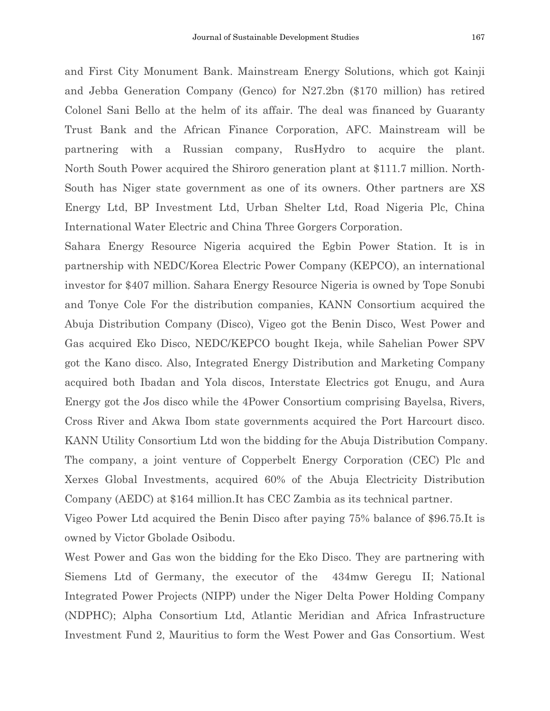and First City Monument Bank. Mainstream Energy Solutions, which got Kainji and Jebba Generation Company (Genco) for N27.2bn (\$170 million) has retired Colonel Sani Bello at the helm of its affair. The deal was financed by Guaranty Trust Bank and the African Finance Corporation, AFC. Mainstream will be partnering with a Russian company, RusHydro to acquire the plant. North South Power acquired the Shiroro generation plant at \$111.7 million. North-South has Niger state government as one of its owners. Other partners are XS Energy Ltd, BP Investment Ltd, Urban Shelter Ltd, Road Nigeria Plc, China International Water Electric and China Three Gorgers Corporation.

Sahara Energy Resource Nigeria acquired the Egbin Power Station. It is in partnership with NEDC/Korea Electric Power Company (KEPCO), an international investor for \$407 million. Sahara Energy Resource Nigeria is owned by Tope Sonubi and Tonye Cole For the distribution companies, KANN Consortium acquired the Abuja Distribution Company (Disco), Vigeo got the Benin Disco, West Power and Gas acquired Eko Disco, NEDC/KEPCO bought Ikeja, while Sahelian Power SPV got the Kano disco. Also, Integrated Energy Distribution and Marketing Company acquired both Ibadan and Yola discos, Interstate Electrics got Enugu, and Aura Energy got the Jos disco while the 4Power Consortium comprising Bayelsa, Rivers, Cross River and Akwa Ibom state governments acquired the Port Harcourt disco. KANN Utility Consortium Ltd won the bidding for the Abuja Distribution Company. The company, a joint venture of Copperbelt Energy Corporation (CEC) Plc and Xerxes Global Investments, acquired 60% of the Abuja Electricity Distribution Company (AEDC) at \$164 million.It has CEC Zambia as its technical partner.

Vigeo Power Ltd acquired the Benin Disco after paying 75% balance of \$96.75.It is owned by Victor Gbolade Osibodu.

West Power and Gas won the bidding for the Eko Disco. They are partnering with Siemens Ltd of Germany, the executor of the 434mw Geregu II; National Integrated Power Projects (NIPP) under the Niger Delta Power Holding Company (NDPHC); Alpha Consortium Ltd, Atlantic Meridian and Africa Infrastructure Investment Fund 2, Mauritius to form the West Power and Gas Consortium. West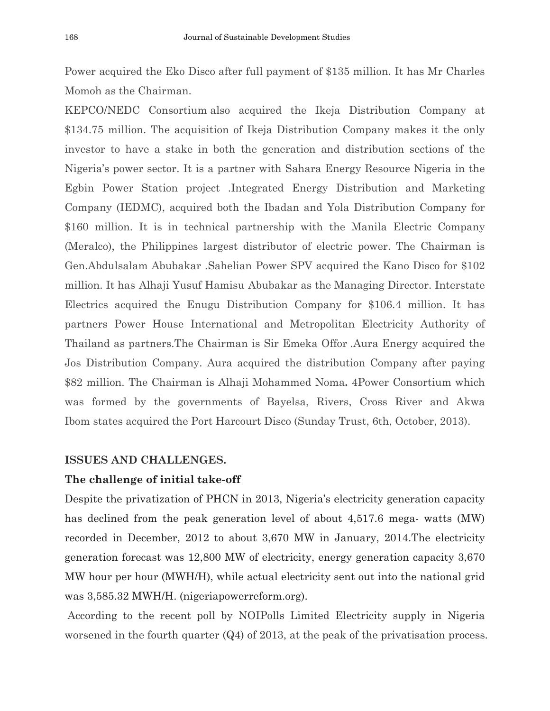Power acquired the Eko Disco after full payment of \$135 million. It has Mr Charles Momoh as the Chairman.

KEPCO/NEDC Consortium also acquired the Ikeja Distribution Company at \$134.75 million. The acquisition of Ikeja Distribution Company makes it the only investor to have a stake in both the generation and distribution sections of the Nigeria's power sector. It is a partner with Sahara Energy Resource Nigeria in the Egbin Power Station project .Integrated Energy Distribution and Marketing Company (IEDMC), acquired both the Ibadan and Yola Distribution Company for \$160 million. It is in technical partnership with the Manila Electric Company (Meralco), the Philippines largest distributor of electric power. The Chairman is Gen.Abdulsalam Abubakar .Sahelian Power SPV acquired the Kano Disco for \$102 million. It has Alhaji Yusuf Hamisu Abubakar as the Managing Director. Interstate Electrics acquired the Enugu Distribution Company for \$106.4 million. It has partners Power House International and Metropolitan Electricity Authority of Thailand as partners.The Chairman is Sir Emeka Offor .Aura Energy acquired the Jos Distribution Company. Aura acquired the distribution Company after paying \$82 million. The Chairman is Alhaji Mohammed Noma**.** 4Power Consortium which was formed by the governments of Bayelsa, Rivers, Cross River and Akwa Ibom states acquired the Port Harcourt Disco (Sunday Trust, 6th, October, 2013).

### **ISSUES AND CHALLENGES.**

## **The challenge of initial take-off**

Despite the privatization of PHCN in 2013, Nigeria's electricity generation capacity has declined from the peak generation level of about 4,517.6 mega- watts (MW) recorded in December, 2012 to about 3,670 MW in January, 2014.The electricity generation forecast was 12,800 MW of electricity, energy generation capacity 3,670 MW hour per hour (MWH/H), while actual electricity sent out into the national grid was 3,585.32 MWH/H. (nigeriapowerreform.org).

According to the recent poll by NOIPolls Limited Electricity supply in Nigeria worsened in the fourth quarter  $(Q_4)$  of 2013, at the peak of the privatisation process.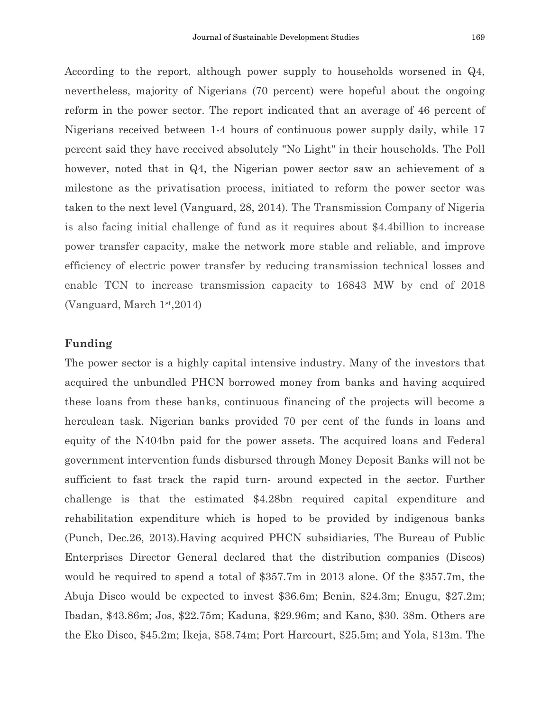According to the report, although power supply to households worsened in Q4, nevertheless, majority of Nigerians (70 percent) were hopeful about the ongoing reform in the power sector. The report indicated that an average of 46 percent of Nigerians received between 1-4 hours of continuous power supply daily, while 17 percent said they have received absolutely "No Light" in their households. The Poll however, noted that in Q4, the Nigerian power sector saw an achievement of a milestone as the privatisation process, initiated to reform the power sector was taken to the next level (Vanguard, 28, 2014). The Transmission Company of Nigeria is also facing initial challenge of fund as it requires about \$4.4billion to increase power transfer capacity, make the network more stable and reliable, and improve efficiency of electric power transfer by reducing transmission technical losses and enable TCN to increase transmission capacity to 16843 MW by end of 2018 (Vanguard, March 1st,2014)

#### **Funding**

The power sector is a highly capital intensive industry. Many of the investors that acquired the unbundled PHCN borrowed money from banks and having acquired these loans from these banks, continuous financing of the projects will become a herculean task. Nigerian banks provided 70 per cent of the funds in loans and equity of the N404bn paid for the power assets. The acquired loans and Federal government intervention funds disbursed through Money Deposit Banks will not be sufficient to fast track the rapid turn- around expected in the sector. Further challenge is that the estimated \$4.28bn required capital expenditure and rehabilitation expenditure which is hoped to be provided by indigenous banks (Punch, Dec.26, 2013).Having acquired PHCN subsidiaries, The Bureau of Public Enterprises Director General declared that the distribution companies (Discos) would be required to spend a total of \$357.7m in 2013 alone. Of the \$357.7m, the Abuja Disco would be expected to invest \$36.6m; Benin, \$24.3m; Enugu, \$27.2m; Ibadan, \$43.86m; Jos, \$22.75m; Kaduna, \$29.96m; and Kano, \$30. 38m. Others are the Eko Disco, \$45.2m; Ikeja, \$58.74m; Port Harcourt, \$25.5m; and Yola, \$13m. The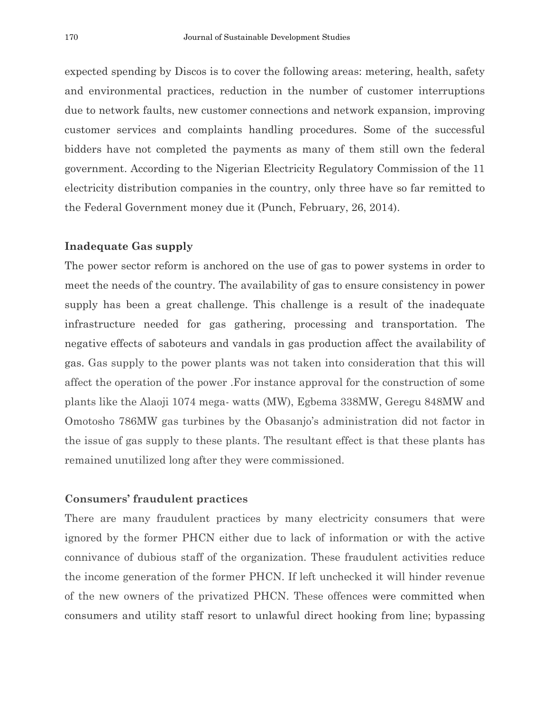expected spending by Discos is to cover the following areas: metering, health, safety and environmental practices, reduction in the number of customer interruptions due to network faults, new customer connections and network expansion, improving customer services and complaints handling procedures. Some of the successful bidders have not completed the payments as many of them still own the federal government. According to the Nigerian Electricity Regulatory Commission of the 11 electricity distribution companies in the country, only three have so far remitted to the Federal Government money due it (Punch, February, 26, 2014).

## **Inadequate Gas supply**

The power sector reform is anchored on the use of gas to power systems in order to meet the needs of the country. The availability of gas to ensure consistency in power supply has been a great challenge. This challenge is a result of the inadequate infrastructure needed for gas gathering, processing and transportation. The negative effects of saboteurs and vandals in gas production affect the availability of gas. Gas supply to the power plants was not taken into consideration that this will affect the operation of the power .For instance approval for the construction of some plants like the Alaoji 1074 mega- watts (MW), Egbema 338MW, Geregu 848MW and Omotosho 786MW gas turbines by the Obasanjo's administration did not factor in the issue of gas supply to these plants. The resultant effect is that these plants has remained unutilized long after they were commissioned.

## **Consumers' fraudulent practices**

There are many fraudulent practices by many electricity consumers that were ignored by the former PHCN either due to lack of information or with the active connivance of dubious staff of the organization. These fraudulent activities reduce the income generation of the former PHCN. If left unchecked it will hinder revenue of the new owners of the privatized PHCN. These offences were committed when consumers and utility staff resort to unlawful direct hooking from line; bypassing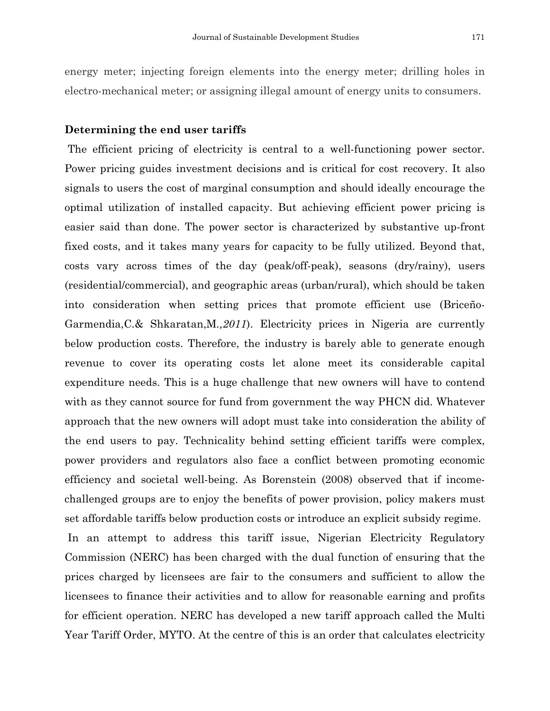energy meter; injecting foreign elements into the energy meter; drilling holes in electro-mechanical meter; or assigning illegal amount of energy units to consumers.

#### **Determining the end user tariffs**

The efficient pricing of electricity is central to a well-functioning power sector. Power pricing guides investment decisions and is critical for cost recovery. It also signals to users the cost of marginal consumption and should ideally encourage the optimal utilization of installed capacity. But achieving efficient power pricing is easier said than done. The power sector is characterized by substantive up-front fixed costs, and it takes many years for capacity to be fully utilized. Beyond that, costs vary across times of the day (peak/off-peak), seasons (dry/rainy), users (residential/commercial), and geographic areas (urban/rural), which should be taken into consideration when setting prices that promote efficient use (Briceño-Garmendia,C.& Shkaratan,M*.,2011*). Electricity prices in Nigeria are currently below production costs. Therefore, the industry is barely able to generate enough revenue to cover its operating costs let alone meet its considerable capital expenditure needs. This is a huge challenge that new owners will have to contend with as they cannot source for fund from government the way PHCN did. Whatever approach that the new owners will adopt must take into consideration the ability of the end users to pay. Technicality behind setting efficient tariffs were complex, power providers and regulators also face a conflict between promoting economic efficiency and societal well-being. As Borenstein (2008) observed that if incomechallenged groups are to enjoy the benefits of power provision, policy makers must set affordable tariffs below production costs or introduce an explicit subsidy regime. In an attempt to address this tariff issue, Nigerian Electricity Regulatory Commission (NERC) has been charged with the dual function of ensuring that the

prices charged by licensees are fair to the consumers and sufficient to allow the licensees to finance their activities and to allow for reasonable earning and profits for efficient operation. NERC has developed a new tariff approach called the Multi Year Tariff Order, MYTO. At the centre of this is an order that calculates electricity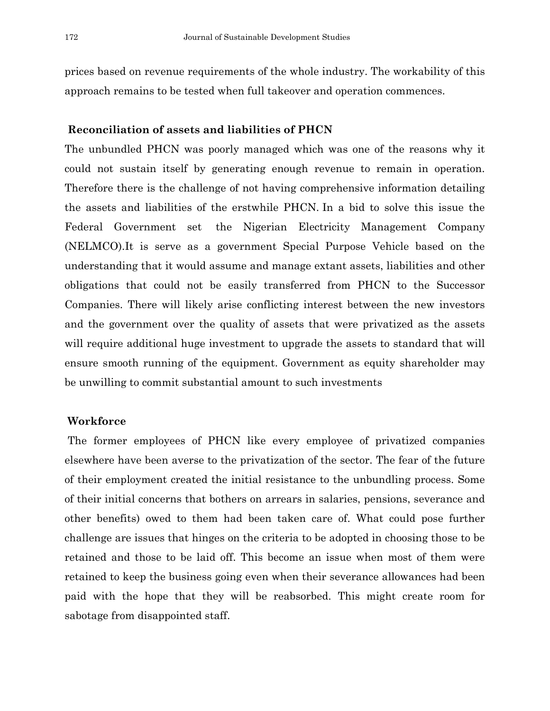prices based on revenue requirements of the whole industry. The workability of this approach remains to be tested when full takeover and operation commences.

## **Reconciliation of assets and liabilities of PHCN**

The unbundled PHCN was poorly managed which was one of the reasons why it could not sustain itself by generating enough revenue to remain in operation. Therefore there is the challenge of not having comprehensive information detailing the assets and liabilities of the erstwhile PHCN. In a bid to solve this issue the Federal Government set the Nigerian Electricity Management Company (NELMCO).It is serve as a government Special Purpose Vehicle based on the understanding that it would assume and manage extant assets, liabilities and other obligations that could not be easily transferred from PHCN to the Successor Companies. There will likely arise conflicting interest between the new investors and the government over the quality of assets that were privatized as the assets will require additional huge investment to upgrade the assets to standard that will ensure smooth running of the equipment. Government as equity shareholder may be unwilling to commit substantial amount to such investments

## **Workforce**

The former employees of PHCN like every employee of privatized companies elsewhere have been averse to the privatization of the sector. The fear of the future of their employment created the initial resistance to the unbundling process. Some of their initial concerns that bothers on arrears in salaries, pensions, severance and other benefits) owed to them had been taken care of. What could pose further challenge are issues that hinges on the criteria to be adopted in choosing those to be retained and those to be laid off. This become an issue when most of them were retained to keep the business going even when their severance allowances had been paid with the hope that they will be reabsorbed. This might create room for sabotage from disappointed staff.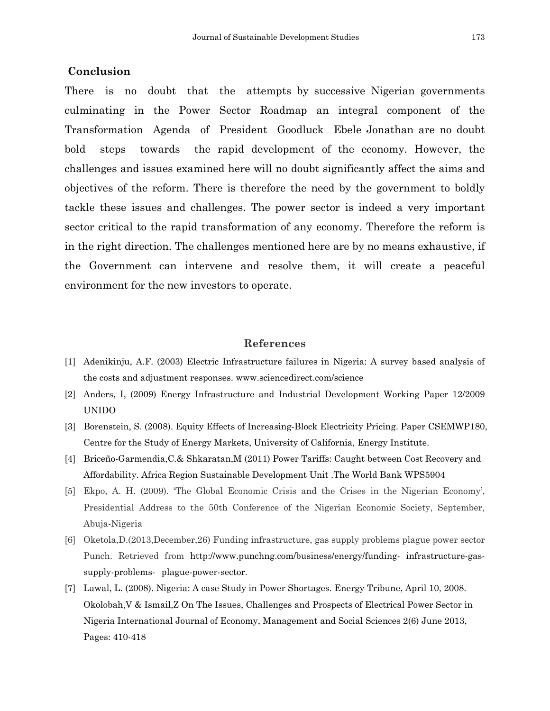#### **Conclusion**

There is no doubt that the attempts by successive Nigerian governments culminating in the Power Sector Roadmap an integral component of the Transformation Agenda of President Goodluck Ebele Jonathan are no doubt bold steps towards the rapid development of the economy. However, the challenges and issues examined here will no doubt significantly affect the aims and objectives of the reform. There is therefore the need by the government to boldly tackle these issues and challenges. The power sector is indeed a very important sector critical to the rapid transformation of any economy. Therefore the reform is in the right direction. The challenges mentioned here are by no means exhaustive, if the Government can intervene and resolve them, it will create a peaceful environment for the new investors to operate.

#### **References**

- [1] Adenikinju, A.F. (2003) Electric Infrastructure failures in Nigeria: A survey based analysis of the costs and adjustment responses. www.sciencedirect.com/science
- [2] Anders, I, (2009) Energy Infrastructure and Industrial Development Working Paper 12/2009 UNIDO
- [3] Borenstein, S. (2008). Equity Effects of Increasing-Block Electricity Pricing. Paper CSEMWP180, Centre for the Study of Energy Markets, University of California, Energy Institute.
- [4] Briceño-Garmendia,C.& Shkaratan,M (2011) Power Tariffs: Caught between Cost Recovery and Affordability. Africa Region Sustainable Development Unit .The World Bank WPS5904
- [5] Ekpo, A. H. (2009). 'The Global Economic Crisis and the Crises in the Nigerian Economy', Presidential Address to the 50th Conference of the Nigerian Economic Society, September, Abuja-Nigeria
- [6] Oketola,D.(2013,December,26) Funding infrastructure, gas supply problems plague power sector Punch. Retrieved from http://www.punchng.com/business/energy/funding- infrastructure-gassupply-problems- plague-power-sector.
- [7] Lawal, L. (2008). Nigeria: A case Study in Power Shortages. Energy Tribune, April 10, 2008. Okolobah,V & Ismail,Z On The Issues, Challenges and Prospects of Electrical Power Sector in Nigeria International Journal of Economy, Management and Social Sciences 2(6) June 2013, Pages: 410-418